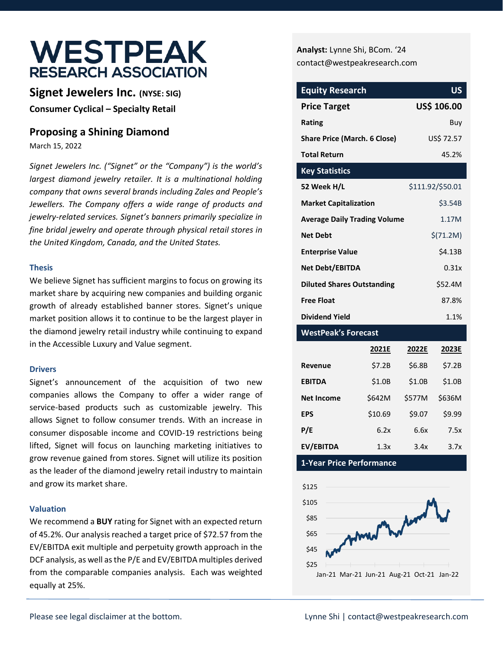# **WESTPEAK RESEARCH ASSOCIATION**

**Signet Jewelers Inc. (NYSE: SIG) Consumer Cyclical – Specialty Retail**

## **Proposing a Shining Diamond**

March 15, 2022

*Signet Jewelers Inc. ("Signet" or the "Company") is the world's largest diamond jewelry retailer. It is a multinational holding company that owns several brands including Zales and People's Jewellers. The Company offers a wide range of products and jewelry-related services. Signet's banners primarily specialize in fine bridal jewelry and operate through physical retail stores in the United Kingdom, Canada, and the United States.* 

### **Thesis**

We believe Signet has sufficient margins to focus on growing its market share by acquiring new companies and building organic growth of already established banner stores. Signet's unique market position allows it to continue to be the largest player in the diamond jewelry retail industry while continuing to expand in the Accessible Luxury and Value segment.

#### **Drivers**

Signet's announcement of the acquisition of two new companies allows the Company to offer a wider range of service-based products such as customizable jewelry. This allows Signet to follow consumer trends. With an increase in consumer disposable income and COVID-19 restrictions being lifted, Signet will focus on launching marketing initiatives to grow revenue gained from stores. Signet will utilize its position as the leader of the diamond jewelry retail industry to maintain and grow its market share.

### **Valuation**

We recommend a **BUY** rating for Signet with an expected return of 45.2%. Our analysis reached a target price of \$72.57 from the EV/EBITDA exit multiple and perpetuity growth approach in the DCF analysis, as well as the P/E and EV/EBITDA multiples derived from the comparable companies analysis. Each was weighted equally at 25%.

**Analyst:** Lynne Shi, BCom. '24 [contact@westpeakresearch.com](mailto:contact@westpeakresearch.com)

| <b>Equity Research</b>              | <b>US</b>        |
|-------------------------------------|------------------|
| <b>Price Target</b>                 | US\$ 106.00      |
| Rating                              | Buv              |
| <b>Share Price (March. 6 Close)</b> | US\$ 72.57       |
| <b>Total Return</b>                 | 45.2%            |
| <b>Key Statistics</b>               |                  |
| 52 Week H/L                         | \$111.92/\$50.01 |
| <b>Market Capitalization</b>        | \$3.54B          |
| <b>Average Daily Trading Volume</b> | 1.17M            |
| <b>Net Debt</b>                     | $$$ (71.2M)      |
| <b>Enterprise Value</b>             | \$4.13B          |
| Net Debt/EBITDA                     | 0.31x            |
| <b>Diluted Shares Outstanding</b>   | \$52.4M          |
| <b>Free Float</b>                   | 87.8%            |
| <b>Dividend Yield</b>               | 1.1%             |

### **WestPeak's Forecast**

|                   | 2021E   | 2022E  | 2023E  |
|-------------------|---------|--------|--------|
| Revenue           | \$7.2B  | \$6.8B | \$7.2B |
| <b>EBITDA</b>     | \$1.0B  | \$1.0B | \$1.0B |
| <b>Net Income</b> | \$642M  | \$577M | \$636M |
| <b>EPS</b>        | \$10.69 | \$9.07 | \$9.99 |
| P/E               | 6.2x    | 6.6x   | 7.5x   |
| EV/EBITDA         | 1.3x    | 3.4x   | 3.7x   |

**1-Year Price Performance**

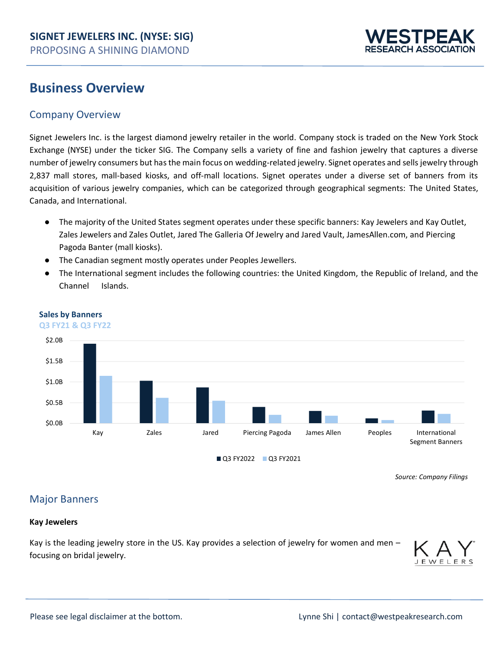

## **Business Overview**

## Company Overview

Signet Jewelers Inc. is the largest diamond jewelry retailer in the world. Company stock is traded on the New York Stock Exchange (NYSE) under the ticker SIG. The Company sells a variety of fine and fashion jewelry that captures a diverse number of jewelry consumers but has the main focus on wedding-related jewelry. Signet operates and sells jewelry through 2,837 mall stores, mall-based kiosks, and off-mall locations. Signet operates under a diverse set of banners from its acquisition of various jewelry companies, which can be categorized through geographical segments: The United States, Canada, and International.

- The majority of the United States segment operates under these specific banners: Kay Jewelers and Kay Outlet, Zales Jewelers and Zales Outlet, Jared The Galleria Of Jewelry and Jared Vault, JamesAllen.com, and Piercing Pagoda Banter (mall kiosks).
- The Canadian segment mostly operates under Peoples Jewellers.
- The International segment includes the following countries: the United Kingdom, the Republic of Ireland, and the Channel Islands.



#### **Sales by Banners**

**Q3 FY21 & Q3 FY22**

 *Source[: Company Filings](https://www.signetjewelers.com/investors/sec-filings/sec-filings-details/default.aspx?FilingId=15396090)*

## Major Banners

### **Kay Jewelers**

Kay is the leading jewelry store in the US. Kay provides a selection of jewelry for women and men – focusing on bridal jewelry.

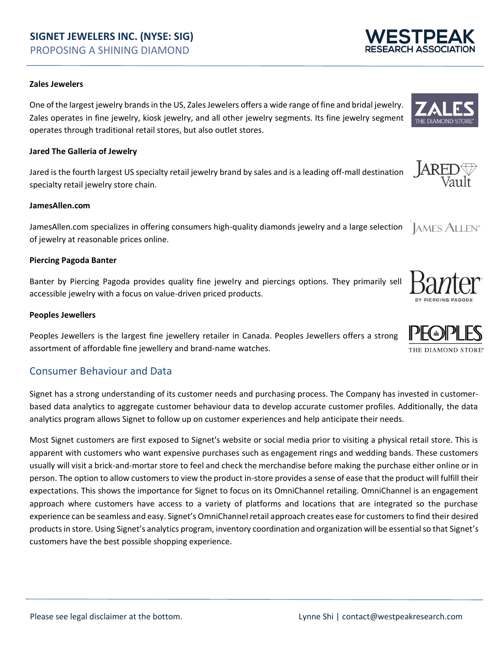#### **Zales Jewelers**

One of the largest jewelry brands in the US, Zales Jewelers offers a wide range of fine and bridal jewelry. Zales operates in fine jewelry, kiosk jewelry, and all other jewelry segments. Its fine jewelry segment operates through traditional retail stores, but also outlet stores.

#### **Jared The Galleria of Jewelry**

 $\overline{A}R$ Jared is the fourth largest US specialty retail jewelry brand by sales and is a leading off-mall destination specialty retail jewelry store chain.

#### **JamesAllen.com**

JamesAllen.com specializes in offering consumers high-quality diamonds jewelry and a large selection **JAMES ALLEN**<sup>®</sup> of jewelry at reasonable prices online.

#### **Piercing Pagoda Banter**

Banter by Piercing Pagoda provides quality fine jewelry and piercings options. They primarily sell accessible jewelry with a focus on value-driven priced products.

#### **Peoples Jewellers**

Peoples Jewellers is the largest fine jewellery retailer in Canada. Peoples Jewellers offers a strong assortment of affordable fine jewellery and brand‐name watches.

### Consumer Behaviour and Data

Signet has a strong understanding of its customer needs and purchasing process. The Company has invested in customerbased data analytics to aggregate customer behaviour data to develop accurate customer profiles. Additionally, the data analytics program allows Signet to follow up on customer experiences and help anticipate their needs.

Most Signet customers are first exposed to Signet's website or social media prior to visiting a physical retail store. This is apparent with customers who want expensive purchases such as engagement rings and wedding bands. These customers usually will visit a brick-and-mortar store to feel and check the merchandise before making the purchase either online or in person. The option to allow customers to view the product in-store provides a sense of ease that the product will fulfill their expectations. This shows the importance for Signet to focus on its OmniChannel retailing. OmniChannel is an engagement approach where customers have access to a variety of platforms and locations that are integrated so the purchase experience can be seamless and easy. Signet's OmniChannel retail approach creates ease for customers to find their desired products in store. Using Signet's analytics program, inventory coordination and organization will be essential so that Signet's customers have the best possible shopping experience.











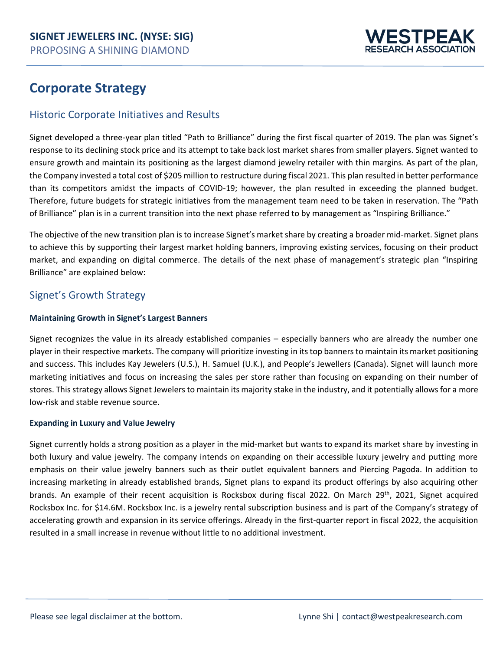

## **Corporate Strategy**

## Historic Corporate Initiatives and Results

Signet developed a three-year plan titled "Path to Brilliance" during the first fiscal quarter of 2019. The plan was Signet's response to its declining stock price and its attempt to take back lost market shares from smaller players. Signet wanted to ensure growth and maintain its positioning as the largest diamond jewelry retailer with thin margins. As part of the plan, the Company invested a total cost of \$205 million to restructure during fiscal 2021. This plan resulted in better performance than its competitors amidst the impacts of COVID-19; however, the plan resulted in exceeding the planned budget. Therefore, future budgets for strategic initiatives from the management team need to be taken in reservation. The "Path of Brilliance" plan is in a current transition into the next phase referred to by management as "Inspiring Brilliance."

The objective of the new transition plan is to increase Signet's market share by creating a broader mid-market. Signet plans to achieve this by supporting their largest market holding banners, improving existing services, focusing on their product market, and expanding on digital commerce. The details of the next phase of management's strategic plan "Inspiring Brilliance" are explained below:

## Signet's Growth Strategy

### **Maintaining Growth in Signet's Largest Banners**

Signet recognizes the value in its already established companies – especially banners who are already the number one player in their respective markets. The company will prioritize investing in itstop banners to maintain its market positioning and success. This includes Kay Jewelers (U.S.), H. Samuel (U.K.), and People's Jewellers (Canada). Signet will launch more marketing initiatives and focus on increasing the sales per store rather than focusing on expanding on their number of stores. This strategy allows Signet Jewelers to maintain its majority stake in the industry, and it potentially allows for a more low-risk and stable revenue source.

### **Expanding in Luxury and Value Jewelry**

Signet currently holds a strong position as a player in the mid-market but wants to expand its market share by investing in both luxury and value jewelry. The company intends on expanding on their accessible luxury jewelry and putting more emphasis on their value jewelry banners such as their outlet equivalent banners and Piercing Pagoda. In addition to increasing marketing in already established brands, Signet plans to expand its product offerings by also acquiring other brands. An example of their recent acquisition is Rocksbox during fiscal 2022. On March 29th, 2021, Signet acquired Rocksbox Inc. for \$14.6M. Rocksbox Inc. is a jewelry rental subscription business and is part of the Company's strategy of accelerating growth and expansion in its service offerings. Already in the first-quarter report in fiscal 2022, the acquisition resulted in a small increase in revenue without little to no additional investment.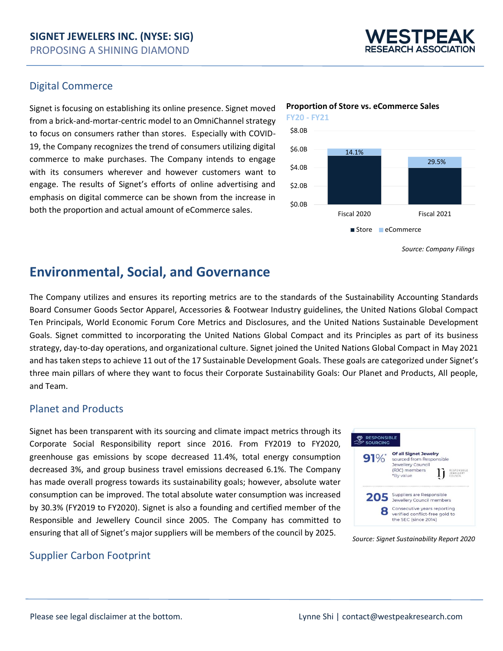

### Digital Commerce

Signet is focusing on establishing its online presence. Signet moved from a brick-and-mortar-centric model to an OmniChannel strategy to focus on consumers rather than stores. Especially with COVID-19, the Company recognizes the trend of consumers utilizing digital commerce to make purchases. The Company intends to engage with its consumers wherever and however customers want to engage. The results of Signet's efforts of online advertising and emphasis on digital commerce can be shown from the increase in both the proportion and actual amount of eCommerce sales.



*Source[: Company Filings](https://www.signetjewelers.com/investors/sec-filings/sec-filings-details/default.aspx?FilingId=14812628)*

## **Environmental, Social, and Governance**

The Company utilizes and ensures its reporting metrics are to the standards of the Sustainability Accounting Standards Board Consumer Goods Sector Apparel, Accessories & Footwear Industry guidelines, the United Nations Global Compact Ten Principals, World Economic Forum Core Metrics and Disclosures, and the United Nations Sustainable Development Goals. Signet committed to incorporating the United Nations Global Compact and its Principles as part of its business strategy, day-to-day operations, and organizational culture. Signet joined the United Nations Global Compact in May 2021 and has taken steps to achieve 11 out of the 17 Sustainable Development Goals. These goals are categorized under Signet's three main pillars of where they want to focus their Corporate Sustainability Goals: Our Planet and Products, All people, and Team.

## Planet and Products

Signet has been transparent with its sourcing and climate impact metrics through its Corporate Social Responsibility report since 2016. From FY2019 to FY2020, greenhouse gas emissions by scope decreased 11.4%, total energy consumption decreased 3%, and group business travel emissions decreased 6.1%. The Company has made overall progress towards its sustainability goals; however, absolute water consumption can be improved. The total absolute water consumption was increased by 30.3% (FY2019 to FY2020). Signet is also a founding and certified member of the Responsible and Jewellery Council since 2005. The Company has committed to ensuring that all of Signet's major suppliers will be members of the council by 2025.



*Source[: Signet Sustainability Report 2020](https://www.signetjewelers.com/sustainability/2020-Sustainability-and-Corporate-Citizenship-Report/default.aspx)*

### Supplier Carbon Footprint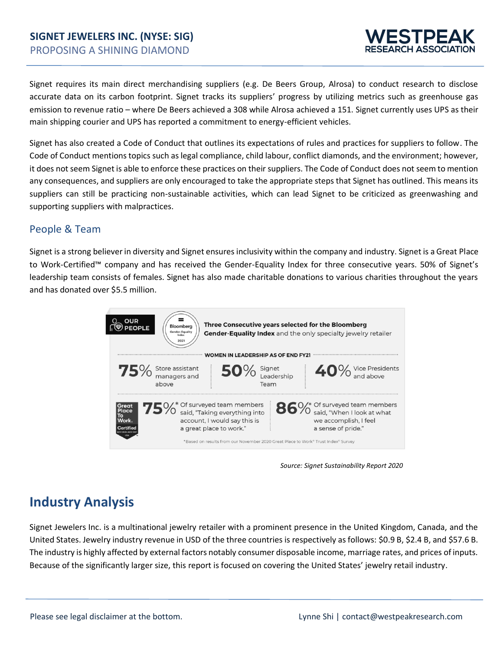

Signet requires its main direct merchandising suppliers (e.g. De Beers Group, Alrosa) to conduct research to disclose accurate data on its carbon footprint. Signet tracks its suppliers' progress by utilizing metrics such as greenhouse gas emission to revenue ratio – where De Beers achieved a 308 while Alrosa achieved a 151. Signet currently uses UPS as their main shipping courier and UPS has reported a commitment to energy-efficient vehicles.

Signet has also created a Code of Conduct that outlines its expectations of rules and practices for suppliers to follow. The Code of Conduct mentions topics such as legal compliance, child labour, conflict diamonds, and the environment; however, it does not seem Signet is able to enforce these practices on their suppliers. The Code of Conduct does not seem to mention any consequences, and suppliers are only encouraged to take the appropriate steps that Signet has outlined. This means its suppliers can still be practicing non-sustainable activities, which can lead Signet to be criticized as greenwashing and supporting suppliers with malpractices.

## People & Team

Signet is a strong believer in diversity and Signet ensures inclusivity within the company and industry. Signet is a Great Place to Work-Certified™ company and has received the Gender-Equality Index for three consecutive years. 50% of Signet's leadership team consists of females. Signet has also made charitable donations to various charities throughout the years and has donated over \$5.5 million.



*Source[: Signet Sustainability Report 2020](https://www.signetjewelers.com/sustainability/2020-Sustainability-and-Corporate-Citizenship-Report/default.aspx)*

## **Industry Analysis**

Signet Jewelers Inc. is a multinational jewelry retailer with a prominent presence in the United Kingdom, Canada, and the United States. Jewelry industry revenue in USD of the three countries is respectively as follows: \$0.9 B, \$2.4 B, and \$57.6 B. The industry is highly affected by external factors notably consumer disposable income, marriage rates, and prices of inputs. Because of the significantly larger size, this report is focused on covering the United States' jewelry retail industry.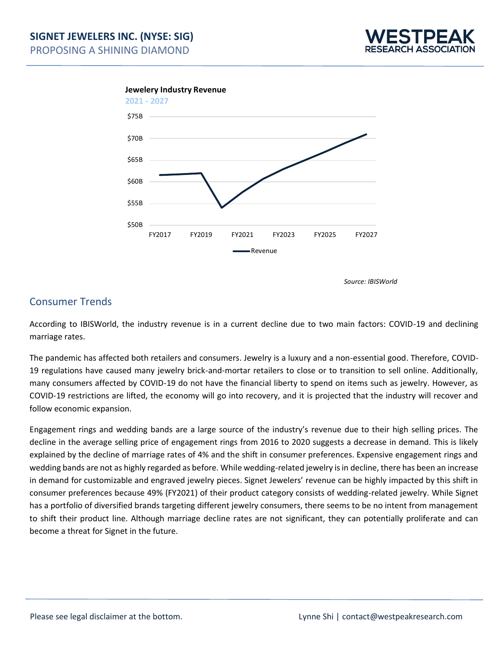





*Source: IBISWorld*

## Consumer Trends

According to IBISWorld, the industry revenue is in a current decline due to two main factors: COVID-19 and declining marriage rates.

The pandemic has affected both retailers and consumers. Jewelry is a luxury and a non-essential good. Therefore, COVID-19 regulations have caused many jewelry brick-and-mortar retailers to close or to transition to sell online. Additionally, many consumers affected by COVID-19 do not have the financial liberty to spend on items such as jewelry. However, as COVID-19 restrictions are lifted, the economy will go into recovery, and it is projected that the industry will recover and follow economic expansion.

Engagement rings and wedding bands are a large source of the industry's revenue due to their high selling prices. The decline in the average selling price of engagement rings from 2016 to 2020 suggests a decrease in demand. This is likely explained by the decline of marriage rates of 4% and the shift in consumer preferences. Expensive engagement rings and wedding bands are not as highly regarded as before. While wedding-related jewelry is in decline, there has been an increase in demand for customizable and engraved jewelry pieces. Signet Jewelers' revenue can be highly impacted by this shift in consumer preferences because 49% (FY2021) of their product category consists of wedding-related jewelry. While Signet has a portfolio of diversified brands targeting different jewelry consumers, there seems to be no intent from management to shift their product line. Although marriage decline rates are not significant, they can potentially proliferate and can become a threat for Signet in the future.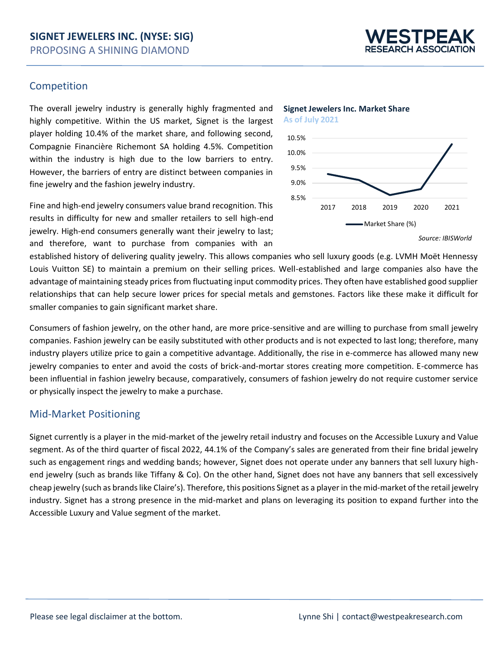

### Competition

The overall jewelry industry is generally highly fragmented and highly competitive. Within the US market, Signet is the largest player holding 10.4% of the market share, and following second, Compagnie Financière Richemont SA holding 4.5%. Competition within the industry is high due to the low barriers to entry. However, the barriers of entry are distinct between companies in fine jewelry and the fashion jewelry industry.

Fine and high-end jewelry consumers value brand recognition. This results in difficulty for new and smaller retailers to sell high-end jewelry. High-end consumers generally want their jewelry to last; and therefore, want to purchase from companies with an



**Signet Jewelers Inc. Market Share**

*Source: IBISWorld*

established history of delivering quality jewelry. This allows companies who sell luxury goods (e.g. LVMH Moët Hennessy Louis Vuitton SE) to maintain a premium on their selling prices. Well-established and large companies also have the advantage of maintaining steady prices from fluctuating input commodity prices. They often have established good supplier relationships that can help secure lower prices for special metals and gemstones. Factors like these make it difficult for smaller companies to gain significant market share.

Consumers of fashion jewelry, on the other hand, are more price-sensitive and are willing to purchase from small jewelry companies. Fashion jewelry can be easily substituted with other products and is not expected to last long; therefore, many industry players utilize price to gain a competitive advantage. Additionally, the rise in e-commerce has allowed many new jewelry companies to enter and avoid the costs of brick-and-mortar stores creating more competition. E-commerce has been influential in fashion jewelry because, comparatively, consumers of fashion jewelry do not require customer service or physically inspect the jewelry to make a purchase.

## Mid-Market Positioning

Signet currently is a player in the mid-market of the jewelry retail industry and focuses on the Accessible Luxury and Value segment. As of the third quarter of fiscal 2022, 44.1% of the Company's sales are generated from their fine bridal jewelry such as engagement rings and wedding bands; however, Signet does not operate under any banners that sell luxury highend jewelry (such as brands like Tiffany & Co). On the other hand, Signet does not have any banners that sell excessively cheap jewelry (such as brands like Claire's). Therefore, this positions Signet as a player in the mid-market of the retail jewelry industry. Signet has a strong presence in the mid-market and plans on leveraging its position to expand further into the Accessible Luxury and Value segment of the market.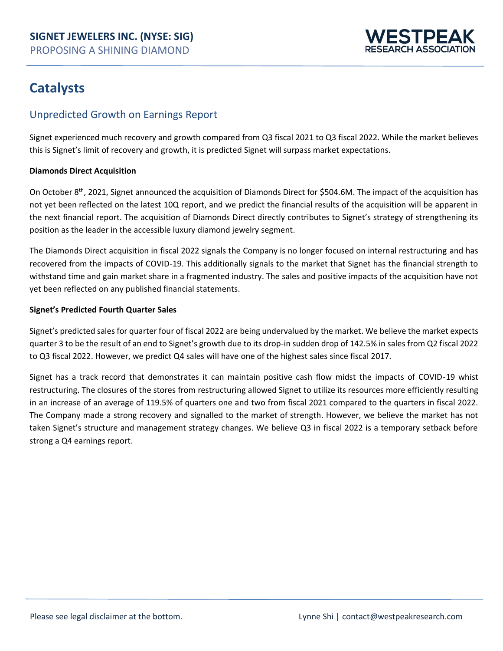

## **Catalysts**

## Unpredicted Growth on Earnings Report

Signet experienced much recovery and growth compared from Q3 fiscal 2021 to Q3 fiscal 2022. While the market believes this is Signet's limit of recovery and growth, it is predicted Signet will surpass market expectations.

### **Diamonds Direct Acquisition**

On October 8th, 2021, Signet announced the acquisition of Diamonds Direct for \$504.6M. The impact of the acquisition has not yet been reflected on the latest 10Q report, and we predict the financial results of the acquisition will be apparent in the next financial report. The acquisition of Diamonds Direct directly contributes to Signet's strategy of strengthening its position as the leader in the accessible luxury diamond jewelry segment.

The Diamonds Direct acquisition in fiscal 2022 signals the Company is no longer focused on internal restructuring and has recovered from the impacts of COVID-19. This additionally signals to the market that Signet has the financial strength to withstand time and gain market share in a fragmented industry. The sales and positive impacts of the acquisition have not yet been reflected on any published financial statements.

### **Signet's Predicted Fourth Quarter Sales**

Signet's predicted sales for quarter four of fiscal 2022 are being undervalued by the market. We believe the market expects quarter 3 to be the result of an end to Signet's growth due to its drop-in sudden drop of 142.5% in sales from Q2 fiscal 2022 to Q3 fiscal 2022. However, we predict Q4 sales will have one of the highest sales since fiscal 2017.

Signet has a track record that demonstrates it can maintain positive cash flow midst the impacts of COVID-19 whist restructuring. The closures of the stores from restructuring allowed Signet to utilize its resources more efficiently resulting in an increase of an average of 119.5% of quarters one and two from fiscal 2021 compared to the quarters in fiscal 2022. The Company made a strong recovery and signalled to the market of strength. However, we believe the market has not taken Signet's structure and management strategy changes. We believe Q3 in fiscal 2022 is a temporary setback before strong a Q4 earnings report.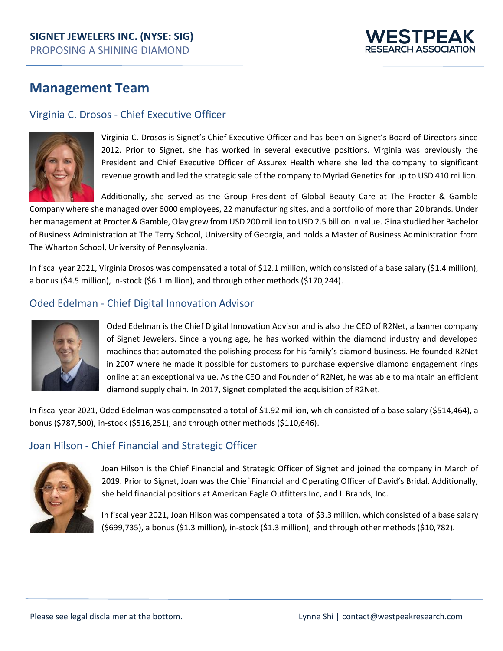

## **Management Team**

## Virginia C. Drosos - Chief Executive Officer



Virginia C. Drosos is Signet's Chief Executive Officer and has been on Signet's Board of Directors since 2012. Prior to Signet, she has worked in several executive positions. Virginia was previously the President and Chief Executive Officer of Assurex Health where she led the company to significant revenue growth and led the strategic sale of the company to Myriad Genetics for up to USD 410 million.

Additionally, she served as the Group President of Global Beauty Care at The Procter & Gamble Company where she managed over 6000 employees, 22 manufacturing sites, and a portfolio of more than 20 brands. Under her management at Procter & Gamble, Olay grew from USD 200 million to USD 2.5 billion in value. Gina studied her Bachelor of Business Administration at The Terry School, University of Georgia, and holds a Master of Business Administration from The Wharton School, University of Pennsylvania.

In fiscal year 2021, Virginia Drosos was compensated a total of \$12.1 million, which consisted of a base salary (\$1.4 million), a bonus (\$4.5 million), in-stock (\$6.1 million), and through other methods (\$170,244).

## Oded Edelman - Chief Digital Innovation Advisor



Oded Edelman is the Chief Digital Innovation Advisor and is also the CEO of R2Net, a banner company of Signet Jewelers. Since a young age, he has worked within the diamond industry and developed machines that automated the polishing process for his family's diamond business. He founded R2Net in 2007 where he made it possible for customers to purchase expensive diamond engagement rings online at an exceptional value. As the CEO and Founder of R2Net, he was able to maintain an efficient diamond supply chain. In 2017, Signet completed the acquisition of R2Net.

In fiscal year 2021, Oded Edelman was compensated a total of \$1.92 million, which consisted of a base salary (\$514,464), a bonus (\$787,500), in-stock (\$516,251), and through other methods (\$110,646).

### Joan Hilson - Chief Financial and Strategic Officer



Joan Hilson is the Chief Financial and Strategic Officer of Signet and joined the company in March of 2019. Prior to Signet, Joan was the Chief Financial and Operating Officer of David's Bridal. Additionally, she held financial positions at American Eagle Outfitters Inc, and L Brands, Inc.

In fiscal year 2021, Joan Hilson was compensated a total of \$3.3 million, which consisted of a base salary (\$699,735), a bonus (\$1.3 million), in-stock (\$1.3 million), and through other methods (\$10,782).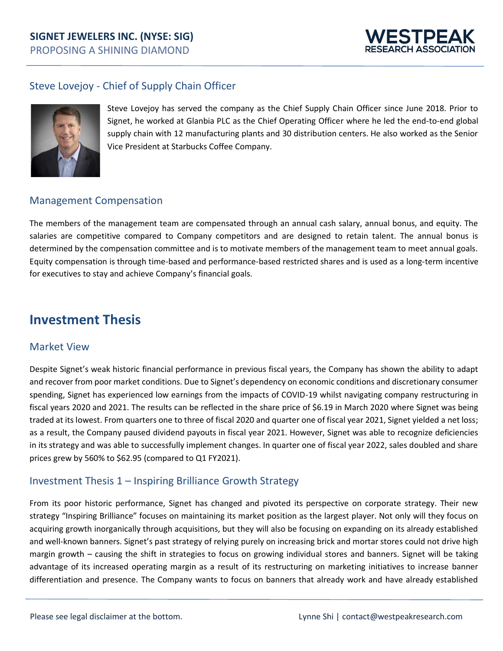## **SIGNET JEWELERS INC. (NYSE: SIG)** PROPOSING A SHINING DIAMOND



## Steve Lovejoy - Chief of Supply Chain Officer



Steve Lovejoy has served the company as the Chief Supply Chain Officer since June 2018. Prior to Signet, he worked at Glanbia PLC as the Chief Operating Officer where he led the end-to-end global supply chain with 12 manufacturing plants and 30 distribution centers. He also worked as the Senior Vice President at Starbucks Coffee Company.

### Management Compensation

The members of the management team are compensated through an annual cash salary, annual bonus, and equity. The salaries are competitive compared to Company competitors and are designed to retain talent. The annual bonus is determined by the compensation committee and is to motivate members of the management team to meet annual goals. Equity compensation is through time-based and performance-based restricted shares and is used as a long-term incentive for executives to stay and achieve Company's financial goals.

## **Investment Thesis**

### Market View

Despite Signet's weak historic financial performance in previous fiscal years, the Company has shown the ability to adapt and recover from poor market conditions. Due to Signet's dependency on economic conditions and discretionary consumer spending, Signet has experienced low earnings from the impacts of COVID-19 whilst navigating company restructuring in fiscal years 2020 and 2021. The results can be reflected in the share price of \$6.19 in March 2020 where Signet was being traded at its lowest. From quarters one to three of fiscal 2020 and quarter one of fiscal year 2021, Signet yielded a net loss; as a result, the Company paused dividend payouts in fiscal year 2021. However, Signet was able to recognize deficiencies in its strategy and was able to successfully implement changes. In quarter one of fiscal year 2022, sales doubled and share prices grew by 560% to \$62.95 (compared to Q1 FY2021).

## Investment Thesis 1 – Inspiring Brilliance Growth Strategy

From its poor historic performance, Signet has changed and pivoted its perspective on corporate strategy. Their new strategy "Inspiring Brilliance" focuses on maintaining its market position as the largest player. Not only will they focus on acquiring growth inorganically through acquisitions, but they will also be focusing on expanding on its already established and well-known banners. Signet's past strategy of relying purely on increasing brick and mortar stores could not drive high margin growth – causing the shift in strategies to focus on growing individual stores and banners. Signet will be taking advantage of its increased operating margin as a result of its restructuring on marketing initiatives to increase banner differentiation and presence. The Company wants to focus on banners that already work and have already established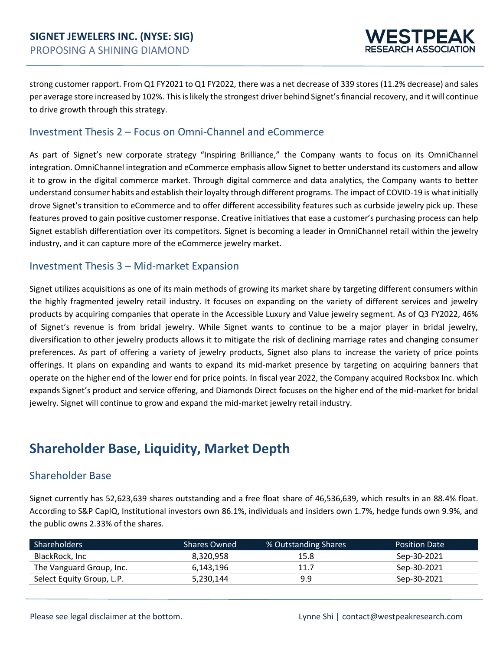

strong customer rapport. From Q1 FY2021 to Q1 FY2022, there was a net decrease of 339 stores (11.2% decrease) and sales per average store increased by 102%. This is likely the strongest driver behind Signet's financial recovery, and it will continue to drive growth through this strategy.

### Investment Thesis 2 – Focus on Omni-Channel and eCommerce

As part of Signet's new corporate strategy "Inspiring Brilliance," the Company wants to focus on its OmniChannel integration. OmniChannel integration and eCommerce emphasis allow Signet to better understand its customers and allow it to grow in the digital commerce market. Through digital commerce and data analytics, the Company wants to better understand consumer habits and establish their loyalty through different programs. The impact of COVID-19 is what initially drove Signet's transition to eCommerce and to offer different accessibility features such as curbside jewelry pick up. These features proved to gain positive customer response. Creative initiatives that ease a customer's purchasing process can help Signet establish differentiation over its competitors. Signet is becoming a leader in OmniChannel retail within the jewelry industry, and it can capture more of the eCommerce jewelry market.

### Investment Thesis 3 – Mid-market Expansion

Signet utilizes acquisitions as one of its main methods of growing its market share by targeting different consumers within the highly fragmented jewelry retail industry. It focuses on expanding on the variety of different services and jewelry products by acquiring companies that operate in the Accessible Luxury and Value jewelry segment. As of Q3 FY2022, 46% of Signet's revenue is from bridal jewelry. While Signet wants to continue to be a major player in bridal jewelry, diversification to other jewelry products allows it to mitigate the risk of declining marriage rates and changing consumer preferences. As part of offering a variety of jewelry products, Signet also plans to increase the variety of price points offerings. It plans on expanding and wants to expand its mid-market presence by targeting on acquiring banners that operate on the higher end of the lower end for price points. In fiscal year 2022, the Company acquired Rocksbox Inc. which expands Signet's product and service offering, and Diamonds Direct focuses on the higher end of the mid-market for bridal jewelry. Signet will continue to grow and expand the mid-market jewelry retail industry.

## **Shareholder Base, Liquidity, Market Depth**

## Shareholder Base

Signet currently has 52,623,639 shares outstanding and a free float share of 46,536,639, which results in an 88.4% float. According to S&P CapIQ, Institutional investors own 86.1%, individuals and insiders own 1.7%, hedge funds own 9.9%, and the public owns 2.33% of the shares.

| Shareholders              | <b>Shares Owned</b> | % Outstanding Shares | <b>Position Date</b> |
|---------------------------|---------------------|----------------------|----------------------|
| BlackRock, Inc            | 8,320,958           | 15.8                 | Sep-30-2021          |
| The Vanguard Group, Inc.  | 6,143,196           | 11.7                 | Sep-30-2021          |
| Select Equity Group, L.P. | 5,230,144           | 9.9                  | Sep-30-2021          |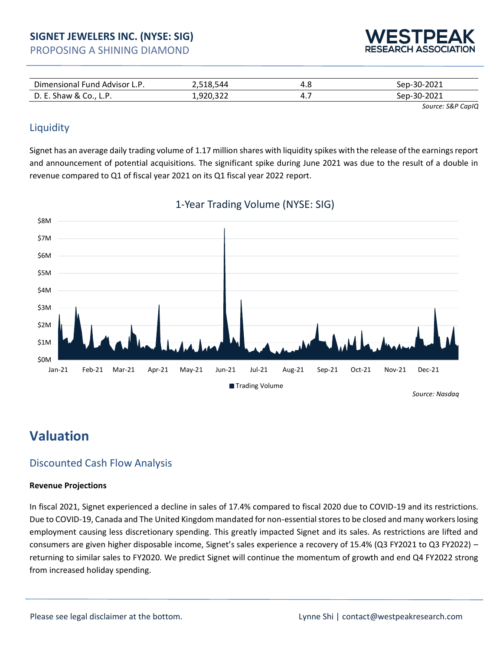| PROPOSING A SHINING DIAMOND |  |  |
|-----------------------------|--|--|
|-----------------------------|--|--|



| Din<br>Fund Advisor L<br>nensional<br><b>L.</b> r. | 544                      | 4.O<br>$\sim$ | $-2021$<br>nen-30-^ |
|----------------------------------------------------|--------------------------|---------------|---------------------|
| D. E.<br>Shaw &<br>$U$ , $L$ , $L$ , $L$           | aan<br><b>T</b> , ALC, T | .,            | $-2021$<br>SAN-30-1 |

 *Source: S&P [CapIQ](https://www.capitaliq.com/CIQDotNet/Ownership/CompanyDetailed.aspx?companyId=693964)*

## **Liquidity**

Signet has an average daily trading volume of 1.17 million shares with liquidity spikes with the release of the earnings report and announcement of potential acquisitions. The significant spike during June 2021 was due to the result of a double in revenue compared to Q1 of fiscal year 2021 on its Q1 fiscal year 2022 report.



## 1-Year Trading Volume (NYSE: SIG)

## **Valuation**

## Discounted Cash Flow Analysis

### **Revenue Projections**

In fiscal 2021, Signet experienced a decline in sales of 17.4% compared to fiscal 2020 due to COVID-19 and its restrictions. Due to COVID-19, Canada and The United Kingdom mandated for non-essential stores to be closed and many workers losing employment causing less discretionary spending. This greatly impacted Signet and its sales. As restrictions are lifted and consumers are given higher disposable income, Signet's sales experience a recovery of 15.4% (Q3 FY2021 to Q3 FY2022) – returning to similar sales to FY2020. We predict Signet will continue the momentum of growth and end Q4 FY2022 strong from increased holiday spending.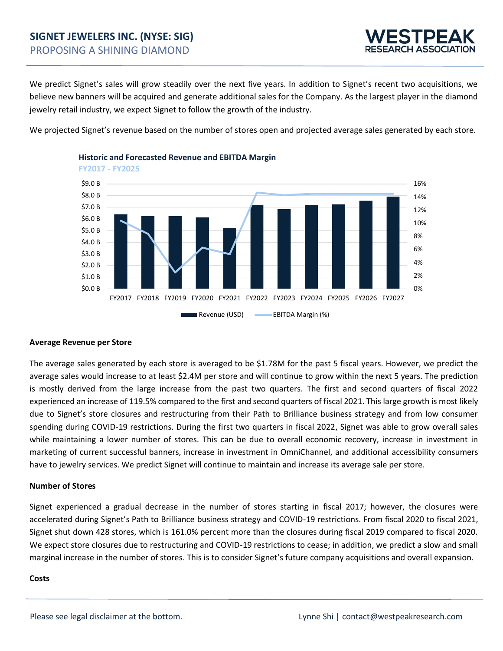

We predict Signet's sales will grow steadily over the next five years. In addition to Signet's recent two acquisitions, we believe new banners will be acquired and generate additional sales for the Company. As the largest player in the diamond jewelry retail industry, we expect Signet to follow the growth of the industry.

We projected Signet's revenue based on the number of stores open and projected average sales generated by each store.



## **Historic and Forecasted Revenue and EBITDA Margin**

#### **Average Revenue per Store**

The average sales generated by each store is averaged to be \$1.78M for the past 5 fiscal years. However, we predict the average sales would increase to at least \$2.4M per store and will continue to grow within the next 5 years. The prediction is mostly derived from the large increase from the past two quarters. The first and second quarters of fiscal 2022 experienced an increase of 119.5% compared to the first and second quarters of fiscal 2021. This large growth is most likely due to Signet's store closures and restructuring from their Path to Brilliance business strategy and from low consumer spending during COVID-19 restrictions. During the first two quarters in fiscal 2022, Signet was able to grow overall sales while maintaining a lower number of stores. This can be due to overall economic recovery, increase in investment in marketing of current successful banners, increase in investment in OmniChannel, and additional accessibility consumers have to jewelry services. We predict Signet will continue to maintain and increase its average sale per store.

#### **Number of Stores**

Signet experienced a gradual decrease in the number of stores starting in fiscal 2017; however, the closures were accelerated during Signet's Path to Brilliance business strategy and COVID-19 restrictions. From fiscal 2020 to fiscal 2021, Signet shut down 428 stores, which is 161.0% percent more than the closures during fiscal 2019 compared to fiscal 2020. We expect store closures due to restructuring and COVID-19 restrictions to cease; in addition, we predict a slow and small marginal increase in the number of stores. This is to consider Signet's future company acquisitions and overall expansion.

#### **Costs**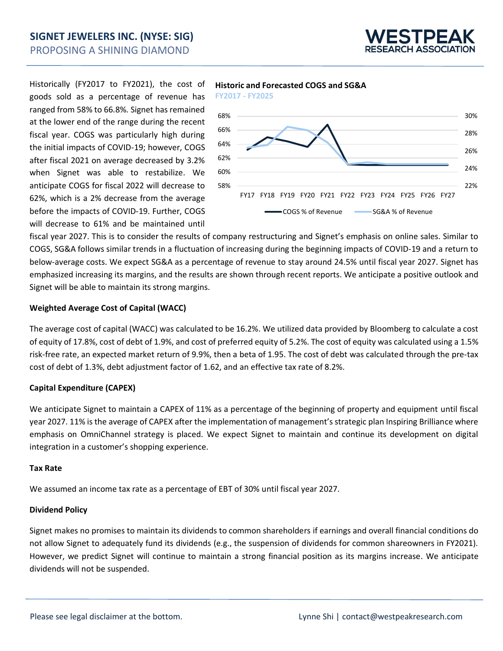

Historically (FY2017 to FY2021), the cost of goods sold as a percentage of revenue has ranged from 58% to 66.8%. Signet has remained at the lower end of the range during the recent fiscal year. COGS was particularly high during the initial impacts of COVID-19; however, COGS after fiscal 2021 on average decreased by 3.2% when Signet was able to restabilize. We anticipate COGS for fiscal 2022 will decrease to 62%, which is a 2% decrease from the average before the impacts of COVID-19. Further, COGS will decrease to 61% and be maintained until







fiscal year 2027. This is to consider the results of company restructuring and Signet's emphasis on online sales. Similar to COGS, SG&A follows similar trends in a fluctuation of increasing during the beginning impacts of COVID-19 and a return to below-average costs. We expect SG&A as a percentage of revenue to stay around 24.5% until fiscal year 2027. Signet has emphasized increasing its margins, and the results are shown through recent reports. We anticipate a positive outlook and Signet will be able to maintain its strong margins.

### **Weighted Average Cost of Capital (WACC)**

The average cost of capital (WACC) was calculated to be 16.2%. We utilized data provided by Bloomberg to calculate a cost of equity of 17.8%, cost of debt of 1.9%, and cost of preferred equity of 5.2%. The cost of equity was calculated using a 1.5% risk-free rate, an expected market return of 9.9%, then a beta of 1.95. The cost of debt was calculated through the pre-tax cost of debt of 1.3%, debt adjustment factor of 1.62, and an effective tax rate of 8.2%.

### **Capital Expenditure (CAPEX)**

We anticipate Signet to maintain a CAPEX of 11% as a percentage of the beginning of property and equipment until fiscal year 2027. 11% is the average of CAPEX after the implementation of management's strategic plan Inspiring Brilliance where emphasis on OmniChannel strategy is placed. We expect Signet to maintain and continue its development on digital integration in a customer's shopping experience.

#### **Tax Rate**

We assumed an income tax rate as a percentage of EBT of 30% until fiscal year 2027.

### **Dividend Policy**

Signet makes no promises to maintain its dividends to common shareholders if earnings and overall financial conditions do not allow Signet to adequately fund its dividends (e.g., the suspension of dividends for common shareowners in FY2021). However, we predict Signet will continue to maintain a strong financial position as its margins increase. We anticipate dividends will not be suspended.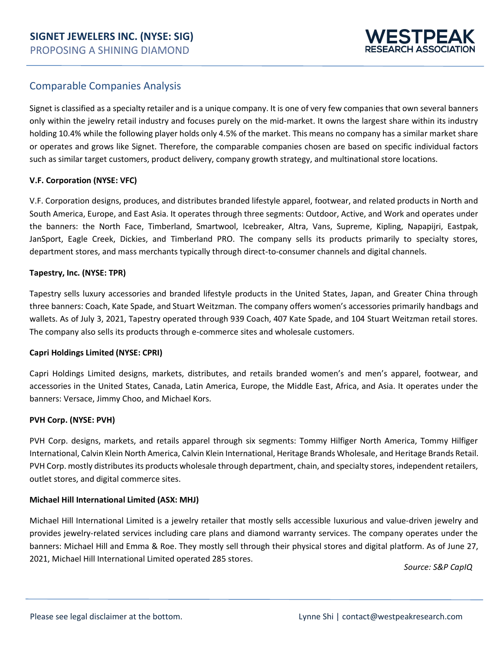

### Comparable Companies Analysis

Signet is classified as a specialty retailer and is a unique company. It is one of very few companies that own several banners only within the jewelry retail industry and focuses purely on the mid-market. It owns the largest share within its industry holding 10.4% while the following player holds only 4.5% of the market. This means no company has a similar market share or operates and grows like Signet. Therefore, the comparable companies chosen are based on specific individual factors such as similar target customers, product delivery, company growth strategy, and multinational store locations.

### **V.F. Corporation (NYSE: VFC)**

V.F. Corporation designs, produces, and distributes branded lifestyle apparel, footwear, and related products in North and South America, Europe, and East Asia. It operates through three segments: Outdoor, Active, and Work and operates under the banners: the North Face, Timberland, Smartwool, Icebreaker, Altra, Vans, Supreme, Kipling, Napapijri, Eastpak, JanSport, Eagle Creek, Dickies, and Timberland PRO. The company sells its products primarily to specialty stores, department stores, and mass merchants typically through direct-to-consumer channels and digital channels.

### **Tapestry, Inc. (NYSE: TPR)**

Tapestry sells luxury accessories and branded lifestyle products in the United States, Japan, and Greater China through three banners: Coach, Kate Spade, and Stuart Weitzman. The company offers women's accessories primarily handbags and wallets. As of July 3, 2021, Tapestry operated through 939 Coach, 407 Kate Spade, and 104 Stuart Weitzman retail stores. The company also sells its products through e-commerce sites and wholesale customers.

### **Capri Holdings Limited (NYSE: CPRI)**

Capri Holdings Limited designs, markets, distributes, and retails branded women's and men's apparel, footwear, and accessories in the United States, Canada, Latin America, Europe, the Middle East, Africa, and Asia. It operates under the banners: Versace, Jimmy Choo, and Michael Kors.

### **PVH Corp. (NYSE: PVH)**

PVH Corp. designs, markets, and retails apparel through six segments: Tommy Hilfiger North America, Tommy Hilfiger International, Calvin Klein North America, Calvin Klein International, Heritage Brands Wholesale, and Heritage Brands Retail. PVH Corp. mostly distributes its products wholesale through department, chain, and specialty stores, independent retailers, outlet stores, and digital commerce sites.

### **Michael Hill International Limited (ASX: MHJ)**

Michael Hill International Limited is a jewelry retailer that mostly sells accessible luxurious and value-driven jewelry and provides jewelry-related services including care plans and diamond warranty services. The company operates under the banners: Michael Hill and Emma & Roe. They mostly sell through their physical stores and digital platform. As of June 27, 2021, Michael Hill International Limited operated 285 stores.

*Source: S&P [CapIQ](https://www.capitaliq.com/CIQDotNet/Comps/Comparables.aspx?compsID=717266402&statekey=cd31bcf704714d7aac73bbde5fdcc3c2&companyId=693964&compsType=1)*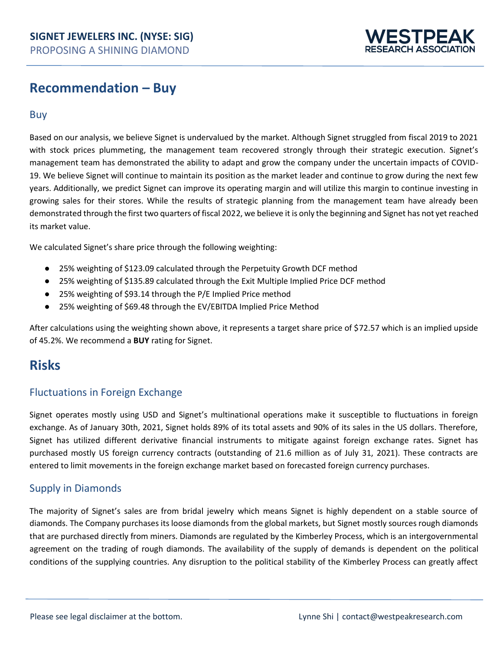

## **Recommendation – Buy**

### Buy

Based on our analysis, we believe Signet is undervalued by the market. Although Signet struggled from fiscal 2019 to 2021 with stock prices plummeting, the management team recovered strongly through their strategic execution. Signet's management team has demonstrated the ability to adapt and grow the company under the uncertain impacts of COVID-19. We believe Signet will continue to maintain its position as the market leader and continue to grow during the next few years. Additionally, we predict Signet can improve its operating margin and will utilize this margin to continue investing in growing sales for their stores. While the results of strategic planning from the management team have already been demonstrated through the first two quarters of fiscal 2022, we believe it is only the beginning and Signet has not yet reached its market value.

We calculated Signet's share price through the following weighting:

- 25% weighting of \$123.09 calculated through the Perpetuity Growth DCF method
- 25% weighting of \$135.89 calculated through the Exit Multiple Implied Price DCF method
- 25% weighting of \$93.14 through the P/E Implied Price method
- 25% weighting of \$69.48 through the EV/EBITDA Implied Price Method

After calculations using the weighting shown above, it represents a target share price of \$72.57 which is an implied upside of 45.2%. We recommend a **BUY** rating for Signet.

## **Risks**

### Fluctuations in Foreign Exchange

Signet operates mostly using USD and Signet's multinational operations make it susceptible to fluctuations in foreign exchange. As of January 30th, 2021, Signet holds 89% of its total assets and 90% of its sales in the US dollars. Therefore, Signet has utilized different derivative financial instruments to mitigate against foreign exchange rates. Signet has purchased mostly US foreign currency contracts (outstanding of 21.6 million as of July 31, 2021). These contracts are entered to limit movements in the foreign exchange market based on forecasted foreign currency purchases.

### Supply in Diamonds

The majority of Signet's sales are from bridal jewelry which means Signet is highly dependent on a stable source of diamonds. The Company purchases its loose diamonds from the global markets, but Signet mostly sources rough diamonds that are purchased directly from miners. Diamonds are regulated by the Kimberley Process, which is an intergovernmental agreement on the trading of rough diamonds. The availability of the supply of demands is dependent on the political conditions of the supplying countries. Any disruption to the political stability of the Kimberley Process can greatly affect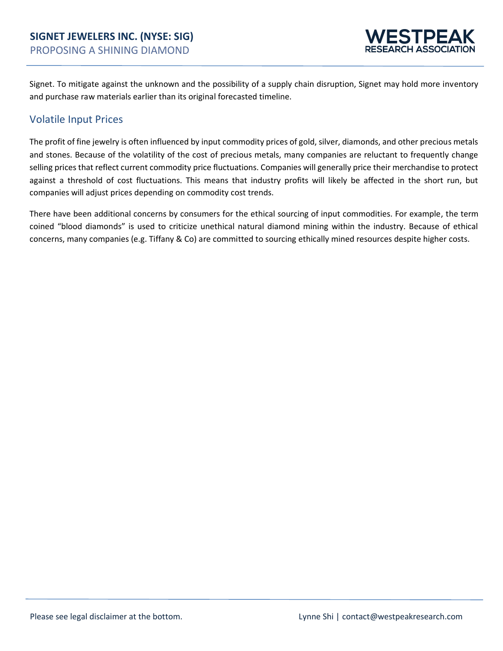

Signet. To mitigate against the unknown and the possibility of a supply chain disruption, Signet may hold more inventory and purchase raw materials earlier than its original forecasted timeline.

### Volatile Input Prices

The profit of fine jewelry is often influenced by input commodity prices of gold, silver, diamonds, and other precious metals and stones. Because of the volatility of the cost of precious metals, many companies are reluctant to frequently change selling prices that reflect current commodity price fluctuations. Companies will generally price their merchandise to protect against a threshold of cost fluctuations. This means that industry profits will likely be affected in the short run, but companies will adjust prices depending on commodity cost trends.

There have been additional concerns by consumers for the ethical sourcing of input commodities. For example, the term coined "blood diamonds" is used to criticize unethical natural diamond mining within the industry. Because of ethical concerns, many companies (e.g. Tiffany & Co) are committed to sourcing ethically mined resources despite higher costs.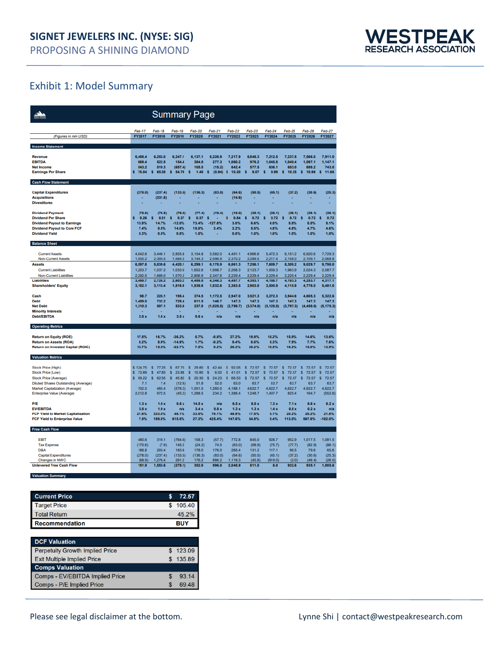

## Exhibit 1: Model Summary

| <b>Summary Page</b>                                                               |                    |                               |                       |                    |                       |                       |                       |                     |                    |                     |                     |
|-----------------------------------------------------------------------------------|--------------------|-------------------------------|-----------------------|--------------------|-----------------------|-----------------------|-----------------------|---------------------|--------------------|---------------------|---------------------|
|                                                                                   | Feb-17             | Feb-18                        | <b>Feb-19</b>         | <b>Feb-20</b>      | Feb-21                | Feb-22                | Feb-23                | Feb-24              | Feb-25             | Feb-26              | Feb-27              |
| (Figures in mm USD)                                                               | <b>FY2017</b>      | <b>FY2018</b>                 | FY2019                | <b>FY2020</b>      | FY2021                | FY2022                | FY2023                | <b>FY2024</b>       | <b>FY2025</b>      | <b>FY2026</b>       | FY2027              |
| <b>Income Statement</b>                                                           |                    |                               |                       |                    |                       |                       |                       |                     |                    |                     |                     |
| Revenue                                                                           | 6.408.4            | 6.253.0                       | 6,247.1               |                    | 5.226.9               |                       | 6,848.3               |                     |                    | 7.566.0             | 7.911.0             |
| <b>FRITDA</b>                                                                     | 669.4              | 522.5                         | 154.4                 | 6,137.1<br>384.0   | 277.3                 | 7,217.9<br>1,060.2    | 976.2                 | 7,212.5<br>1,045.8  | 7,237.5<br>1,049.4 | 1.097.1             | 1,147.1             |
| <b>Net Income</b>                                                                 | 543.2              | 519.3                         | (657.4)               | 105.5              | (15.2)                | 642.4                 | 577.5                 | 636.1               | 653.0              | 698.2               | 743.0               |
| <b>Earnings Per Share</b>                                                         | 75.04              | 65,38<br>s                    | 54.70<br>ś            | s<br>1.40          | (0.94)<br>s           | 10.20<br>s            | 9.07<br>s             | s<br>9.99           | 10.25<br>s         | 10.96<br>s          | s<br>11.66          |
| <b>Cash Flow Statement</b>                                                        |                    |                               |                       |                    |                       |                       |                       |                     |                    |                     |                     |
| <b>Capital Expenditures</b>                                                       | (278.0)            | (237.4)                       | (133.5)               | (136.3)            | (83.0)                | (64.6)                | (50.5)                | (45.1)              | (37.2)             | (30.6)              | (25.3)              |
| <b>Acquisitions</b><br><b>Divestitures</b>                                        |                    | (331.8)                       |                       |                    |                       | (14.6)                |                       |                     |                    |                     |                     |
|                                                                                   |                    |                               |                       |                    |                       |                       |                       |                     |                    |                     |                     |
| <b>Dividend Payment</b>                                                           | (75.6)             | (76.5)                        | (79.0)                | (77.4)             | (19.4)                | (19.0)                | (38.1)                | (38.1)              | (38.1)             | (38.1)              | (38.1)              |
| <b>Dividend Per Share</b><br><b>Dividend Payout to Earnings</b>                   | 0.26<br>13.9%      | s<br>0.31<br>14.7%            | s<br>0.37<br>$-12.0%$ | 0.37<br>s<br>73.4% | s<br>$-127.6%$        | 0.54<br>s<br>3.0%     | s<br>0.72<br>6.6%     | s<br>0.72<br>6.0%   | s<br>0.72<br>5.8%  | s<br>0.72<br>5.5%   | s<br>0.72<br>5.1%   |
| <b>Dividend Payout to Core FCF</b>                                                | 7.4%               | 8.5%                          | 14.6%                 | 15.0%              | 3.4%                  | 2.2%                  | 5.0%                  | 4.8%                | 4.8%               | 4.7%                | 4.6%                |
| <b>Dividend Yield</b>                                                             | 0.3%               | 0.5%                          | 0.8%                  | 1.8%               |                       | 0.8%                  | 1.0%                  | 1.0%                | 1.0%               | 1.0%                | 1.0%                |
| <b>Balance Sheet</b>                                                              |                    |                               |                       |                    |                       |                       |                       |                     |                    |                     |                     |
| <b>Current Assets</b>                                                             | 4.642.6            | 3,446.1                       | 2.855.8               | 3.154.8            | 3.582.0               | 4.491.1               | 4.966.6               | 5.472.3             | 6.151.2            | 6.920.6             | 7.729.3             |
| Non-Current Assets                                                                | 1,955.2            | 2,393.5                       | 1,564.3               | 3,144.3            | 2,596.9               | 2,370.2               | 2.289.5               | 2,217.4             | 2,158.0            | 2,109.1             | 2,068.8             |
| <b>Assets</b>                                                                     | 6,597.8            | 5,839.6                       | 4,420.1               | 6,299.1            | 6,178.9               | 6,861.3               | 7,256.1               | 7,689.7             | 8,309.2            | 9,029.7             | 9,798.0             |
| <b>Current Liabilities</b><br>Non-Current Liabilities                             | 1,203.7<br>2.292.0 | 1.037.2<br>1,689.0            | 1.033.0<br>1,570.2    | 1,652.6<br>2,806.9 | 1,998.7<br>2.347.6    | 2,268.3<br>2,229.4    | 2,123.7<br>2,229.4    | 1,959.3<br>2,229.4  | 1,963.9<br>2,229.4 | 2.024.3<br>2,229.4  | 2,087.7<br>2,229.4  |
| <b>Liabilities</b>                                                                | 3,495.7            | 2.726.2                       | 2.603.2               | 4,459.5            | 4.346.3               | 4,497.7               | 4.353.1               | 4,188.7             | 4.193.3            | 4.253.7             | 4,317.1             |
| <b>Shareholders' Equity</b>                                                       | 3,102.1            | 3.113.4                       | 1,816.9               | 1,839.6            | 1,832.6               | 2,363.5               | 2,903.0               | 3,500.9             | 4,115.9            | 4,776.0             | 5,481.0             |
| Cash                                                                              | 98.7               | 225.1                         | 195.4                 | 374.5              | 1.172.5               | 2.947.0               | 3,521.3               | 3.272.3             | 3,944.6            | 4,605.3             | 5,322.6             |
| Debt                                                                              | 1,409.0            | 732.2                         | 728.4                 | 611.5              | 146.7                 | 147.3                 | 147.3                 | 147.3               | 147.3              | 147.3               | 147.3               |
| <b>Net Debt</b><br><b>Minority Interests</b>                                      | 1.310.3            | 507.1<br>٠                    | 533.0                 | 237.0<br>٠         | (1,025.8)             | (2,799.7)             | (3, 374.0)            | (3, 125.0)          | (3,797.3)          | (4, 458, 0)         | (5, 175, 3)         |
| <b>Debt/EBITDA</b>                                                                | 2.0x               | 1.0x                          | 3.5x                  | 0.6x               | n/s                   | n/a                   | n/a                   | n/s                 | n/s                | n/a                 | n/a                 |
| <b>Operating Metrics</b>                                                          |                    |                               |                       |                    |                       |                       |                       |                     |                    |                     |                     |
| <b>Return on Equity (ROE)</b>                                                     | 17.5%              | 16.7%                         | $-36.2%$              | 5.7%               | $-0.8%$               | 27.2%                 | 19.9%                 | 18.2%               | 15.9%              | 14.6%               | 13.6%               |
| <b>Return on Assets (ROA)</b>                                                     | 8.2%               | 8.9%                          | $-14.9%$              | 1.7%               | $-0.2%$               | 9.4%                  | 8.0%                  | 8.3%                | 7.9%               | 7.7%                | 7.6%                |
| <b>Return on Invested Capital (ROIC)</b>                                          | 13.7%              | 15.5%                         | $-22.7%$              | 7.5%               | 0.2%                  | 26.3%                 | 20.2%                 | 18.5%               | 16.2%              | 15.0%               | 13.9%               |
| <b>Valuation Metrics</b>                                                          |                    |                               |                       |                    |                       |                       |                       |                     |                    |                     |                     |
| Stock Price (High)                                                                | \$124.75           | $\mathbf{s}$<br>77.25         | s<br>67.75            | s<br>29.80         | $\mathbf{s}$<br>42.44 | $\mathbf{s}$<br>92.05 | $\mathbf{s}$<br>72.57 | \$72.57             | s<br>72.57         | \$72.57             | 72.57<br>s          |
| Stock Price (Low)                                                                 | s.<br>73.69        | s.<br>47.85                   | 23.88<br>s            | 10.80<br>s         | 6.02<br>s             | 41.01<br>s            | 72.57<br>s            | s<br>72.57          | 72.57<br>s         | s.<br>72.57         | 72.57<br>s          |
| Stock Price (Average)                                                             | s.<br>99.22        | s.<br>62.55<br>7 <sub>4</sub> | s<br>45.82<br>(12.6)  | s<br>20.30<br>51.8 | s<br>24.23<br>52.0    | s<br>66.53<br>63.0    | s<br>72.57<br>63.7    | s.<br>72.57<br>63.7 | s<br>72.57<br>63.7 | s.<br>72.57<br>63.7 | s.<br>72.57<br>63.7 |
| <b>Diluted Shares Outstanding (Average)</b><br>Market Capitalization (Average)    | 7.1<br>702.5       | 465.4                         | (578.2)               | 1,051.5            | 1,260.0               | 4,188.1               | 4,622.7               | 4,622.7             | 4,622.7            | 4,622.7             | 4,622.7             |
| Enterprise Value (Average)                                                        | 2.012.8            | 972.5                         | (45.2)                | 1.288.5            | 234.2                 | 1.388.4               | 1,248.7               | 1,497.7             | 825.4              | 164.7               | (552.6)             |
| P/E                                                                               | 1.3x               | 1.0x                          | 0.8x                  | 14.5x              | n/s                   | 6.5x                  | 8.0x                  | 7.3x                | 7.1x               | 6.6x                | 6.2x                |
| <b>EV/EBITDA</b>                                                                  | 3.0x               | 1.9x                          | n/a                   | 3.4x               | 0.8x                  | 1.3x                  | 1.3x                  | 1.4x                | 0.8x               | 0.2x                | n/a                 |
| <b>FCF Yield to Market Capitalization</b><br><b>FCF Yield to Enterprise Value</b> | 21.6%<br>7.5%      | 333.8%<br>159.8%              | 48.1%<br>615.5%       | 33.5%<br>27.3%     | 79.1%<br>425.4%       | 48.9%<br>147.6%       | 17.5%<br>64.9%        | 0.1%<br>0.4%        | 20.2%<br>113.0%    | 20.2%<br>567.8%     | 21.8%<br>$-182.0%$  |
| <b>Free Cash Flow</b>                                                             |                    |                               |                       |                    |                       |                       |                       |                     |                    |                     |                     |
|                                                                                   |                    |                               |                       |                    |                       |                       |                       |                     |                    |                     |                     |
| <b>EBIT</b>                                                                       | 480.6              | 319.1                         | (764.6)               | 158.3              | (57.7)                | 772.8                 | 845.0                 | 928.7               | 952.9              | 1,017.5             | 1,081.5             |
| <b>Tax Expense</b><br>D&A                                                         | (170.6)<br>188.8   | (7.9)<br>203.4                | 145.2<br>183.6        | (24.2)<br>178.0    | 74.5<br>176.0         | (63.0)<br>285.4       | (68.9)<br>131.2       | (75.7)<br>117.1     | (77.7)<br>96.5     | (82.9)<br>79.6      | (88.1)<br>65.6      |
| <b>Capital Expenditures</b>                                                       | (278.0)            | (237.4)                       | (133.5)               | (136.3)            | (83.0)                | (64.6)                | (50.5)                | (45.1)              | (37.2)             | (30.6)              | (25.3)              |
| Changes in NWC                                                                    | (68.9)             | 1,276.4                       | 291.2                 | 176.2              | 886.2                 | 1,118.3               | (45.8)                | (919.0)             | (2.0)              | (48.4)              | (28.0)              |
| <b>Unlevered Free Cash Flow</b>                                                   | 151.9              | 1,553.6                       | (278.1)               | 352.0              | 996.0                 | 2,048.9               | 811.0                 | 6.0                 | 932.6              | 935.1               | 1,005.6             |
|                                                                                   |                    |                               |                       |                    |                       |                       |                       |                     |                    |                     |                     |

| <b>Current Price</b>  | 72.57      |
|-----------------------|------------|
| <b>Target Price</b>   | 105.40     |
| <b>Total Return</b>   | 45.2%      |
| <b>Recommendation</b> | <b>BUY</b> |

| <b>DCF Valuation</b>                   |          |
|----------------------------------------|----------|
| <b>Perpetuity Growth Implied Price</b> | \$123.09 |
| <b>Exit Multiple Implied Price</b>     | 135.89   |
| <b>Comps Valuation</b>                 |          |
| Comps - EV/EBITDA Implied Price        | 93.14    |
| Comps - P/E Implied Price              | 69.48    |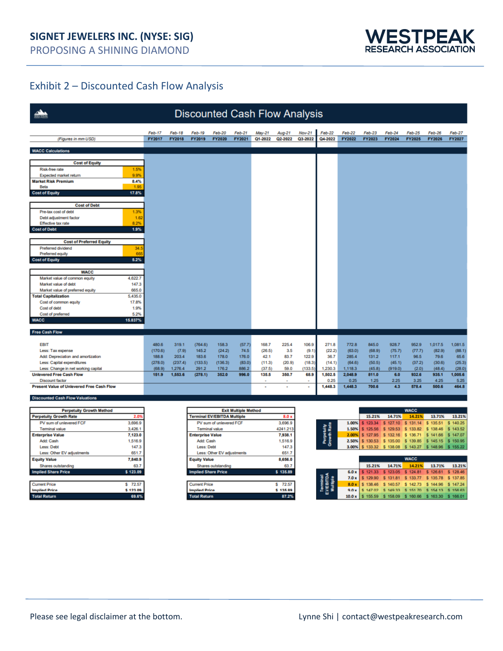

## Exhibit 2 – Discounted Cash Flow Analysis

| <b>Discounted Cash Flow Analysis</b>                              |                 |                   |                     |                                    |                            |                             |                  |                |                   |                           |                   |                  |                   |                                     |                   |                  |
|-------------------------------------------------------------------|-----------------|-------------------|---------------------|------------------------------------|----------------------------|-----------------------------|------------------|----------------|-------------------|---------------------------|-------------------|------------------|-------------------|-------------------------------------|-------------------|------------------|
|                                                                   |                 | Feb-17            | Feb-18              | Feb-19                             | <b>Feb-20</b>              | Feb-21                      | May-21           | Aug-21         | <b>Nov-21</b>     | Feb-22                    | Feb-22            | Feb-23           | Feb-24            | Feb-25                              | Feb-26            | <b>Feb-27</b>    |
| (Figures in mm USD)                                               |                 | FY2017            | <b>FY2018</b>       | FY2019                             | <b>FY2020</b>              | FY2021                      | Q1-2022          | Q2-2022        | Q3-2022           | Q4-2022                   | FY2022            | FY2023           | FY2024            | <b>FY2025</b>                       | <b>FY2026</b>     | <b>FY2027</b>    |
|                                                                   |                 |                   |                     |                                    |                            |                             |                  |                |                   |                           |                   |                  |                   |                                     |                   |                  |
| <b>WACC Calculations</b>                                          |                 |                   |                     |                                    |                            |                             |                  |                |                   |                           |                   |                  |                   |                                     |                   |                  |
| <b>Cost of Equity</b>                                             |                 |                   |                     |                                    |                            |                             |                  |                |                   |                           |                   |                  |                   |                                     |                   |                  |
| Risk-free rate                                                    | 1.5%            |                   |                     |                                    |                            |                             |                  |                |                   |                           |                   |                  |                   |                                     |                   |                  |
| Expected market return                                            | 9.9%            |                   |                     |                                    |                            |                             |                  |                |                   |                           |                   |                  |                   |                                     |                   |                  |
| <b>Market Risk Premium</b><br>Beta                                | 8.4%<br>1.95    |                   |                     |                                    |                            |                             |                  |                |                   |                           |                   |                  |                   |                                     |                   |                  |
| <b>Cost of Equity</b>                                             | 17.8%           |                   |                     |                                    |                            |                             |                  |                |                   |                           |                   |                  |                   |                                     |                   |                  |
|                                                                   |                 |                   |                     |                                    |                            |                             |                  |                |                   |                           |                   |                  |                   |                                     |                   |                  |
| <b>Cost of Debt</b>                                               |                 |                   |                     |                                    |                            |                             |                  |                |                   |                           |                   |                  |                   |                                     |                   |                  |
| Pre-tax cost of debt                                              | 1.3%            |                   |                     |                                    |                            |                             |                  |                |                   |                           |                   |                  |                   |                                     |                   |                  |
| Debt adjustment factor                                            | 1.62            |                   |                     |                                    |                            |                             |                  |                |                   |                           |                   |                  |                   |                                     |                   |                  |
| Effective tax rate<br><b>Cost of Debt</b>                         | 8.2%<br>1.9%    |                   |                     |                                    |                            |                             |                  |                |                   |                           |                   |                  |                   |                                     |                   |                  |
|                                                                   |                 |                   |                     |                                    |                            |                             |                  |                |                   |                           |                   |                  |                   |                                     |                   |                  |
| <b>Cost of Preferred Equity</b>                                   |                 |                   |                     |                                    |                            |                             |                  |                |                   |                           |                   |                  |                   |                                     |                   |                  |
| Preferred dividend                                                | 34.             |                   |                     |                                    |                            |                             |                  |                |                   |                           |                   |                  |                   |                                     |                   |                  |
| Preferred equity                                                  | 66              |                   |                     |                                    |                            |                             |                  |                |                   |                           |                   |                  |                   |                                     |                   |                  |
| <b>Cost of Equity</b>                                             | 5.2%            |                   |                     |                                    |                            |                             |                  |                |                   |                           |                   |                  |                   |                                     |                   |                  |
| <b>WACC</b>                                                       |                 |                   |                     |                                    |                            |                             |                  |                |                   |                           |                   |                  |                   |                                     |                   |                  |
| Market value of common equity                                     | 4,622.7         |                   |                     |                                    |                            |                             |                  |                |                   |                           |                   |                  |                   |                                     |                   |                  |
| Market value of debt                                              | 147.3           |                   |                     |                                    |                            |                             |                  |                |                   |                           |                   |                  |                   |                                     |                   |                  |
| Market value of preferred equity                                  | 665.0           |                   |                     |                                    |                            |                             |                  |                |                   |                           |                   |                  |                   |                                     |                   |                  |
| <b>Total Capitalization</b>                                       | 5.435.0         |                   |                     |                                    |                            |                             |                  |                |                   |                           |                   |                  |                   |                                     |                   |                  |
| Cost of common equity                                             | 17.8%           |                   |                     |                                    |                            |                             |                  |                |                   |                           |                   |                  |                   |                                     |                   |                  |
| Cost of debt                                                      | 1.9%            |                   |                     |                                    |                            |                             |                  |                |                   |                           |                   |                  |                   |                                     |                   |                  |
| Cost of preferred<br><b>WACC</b>                                  | 5.2%<br>15.837% |                   |                     |                                    |                            |                             |                  |                |                   |                           |                   |                  |                   |                                     |                   |                  |
|                                                                   |                 |                   |                     |                                    |                            |                             |                  |                |                   |                           |                   |                  |                   |                                     |                   |                  |
| <b>Free Cash Flow</b>                                             |                 |                   |                     |                                    |                            |                             |                  |                |                   |                           |                   |                  |                   |                                     |                   |                  |
| <b>EBIT</b>                                                       |                 | 480.6             | 319.1               | (764.6)                            | 158.3                      | (57.7)                      | 168.7            | 225.4          | 106.9             | 271.8                     | 772.8             | 845.0            | 928.7             | 952.9                               | 1,017.5           | 1,081.5          |
| Less: Tax expense                                                 |                 | (170.6)           | (7.9)               | 145.2                              | (24.2)                     | 74.5                        | (26.5)           | 3.5            | (9.1)             | (22.2)                    | (63.0)            | (68.9)           | (75.7)            | (77.7)                              | (82.9)            | (88.1)           |
| Add: Depreciation and amortization                                |                 | 188.8             | 203.4               | 183.6                              | 178.0                      | 176.0                       | 42.1             | 83.7           | 122.9             | 36.7                      | 285.4             | 131.2            | 117.1             | 96.5                                | 79.6              | 65.6             |
| Less: Capital expenditures<br>Less: Change in net working capital |                 | (278.0)<br>(68.9) | (237.4)<br>1,276.4  | (133.5)<br>291.2                   | (136.3)<br>176.2           | (83.0)<br>886.2             | (11.3)<br>(37.5) | (20.9)<br>59.0 | (18.3)<br>(133.5) | (14.1)<br>1,230.3         | (64.6)<br>1,118.3 | (50.5)<br>(45.8) | (45.1)<br>(919.0) | (37.2)<br>(2.0)                     | (30.6)<br>(48.4)  | (25.3)<br>(28.0) |
| <b>Unlevered Free Cash Flow</b>                                   |                 | 151.9             | 1,553.6             | (278.1)                            | 352.0                      | 996.0                       | 135.5            | 350.7          | 68.9              | 1,502.5                   | 2.048.9           | 811.0            | 6.0               | 932.6                               | 935.1             | 1.005.6          |
| <b>Discount factor</b>                                            |                 |                   |                     |                                    |                            |                             |                  |                |                   | 0.25                      | 0.25              | 1.25             | 2.25              | 3.25                                | 4.25              | 5.25             |
| <b>Present Value of Unlevered Free Cash Flow</b>                  |                 |                   |                     |                                    |                            |                             | ×                | $\epsilon$     |                   | 1,448.3                   | 1,448.3           | 700.6            | 4.3               | 578.4                               | 500.6             | 464.8            |
| <b>Discounted Cash Flow Valuations</b>                            |                 |                   |                     |                                    |                            |                             |                  |                |                   |                           |                   |                  |                   |                                     |                   |                  |
| <b>Perpetuity Growth Method</b>                                   |                 |                   |                     |                                    |                            | <b>Exit Multiple Method</b> |                  |                |                   |                           |                   |                  |                   | <b>WACC</b>                         |                   |                  |
| <b>Perpetuity Growth Rate</b>                                     | 2.0             |                   |                     | <b>Terminal EV/EBITDA Multiple</b> |                            |                             |                  | 8.0 x          |                   |                           |                   | 15.21%           | 14.71%            | 14.21%                              | 13.71%            | 13.21%           |
| PV sum of unlevered FCF                                           | 3,696.9         |                   |                     |                                    | PV sum of unlevered FCF    |                             |                  | 3,696.9        |                   |                           | 1.00%             | \$123.34         | \$127.10          |                                     | \$131.14 \$135.51 | \$140.25         |
| <b>Terminal value</b>                                             | 3,426.1         |                   |                     |                                    | <b>Terminal value</b>      |                             |                  | 4241.213       |                   |                           | 1.50%             | \$125.56         | \$129.53          | \$133.82                            | \$138.46          | \$143.52         |
| <b>Enterprise Value</b>                                           | 7,123.0         |                   |                     | <b>Enterprise Value</b>            |                            |                             |                  | 7,938.1        |                   | Perpetuity<br>Growth Rate | 2.00%             | \$127.95         | \$132.16          | \$136.71                            | \$141.66          | \$147.07         |
| <b>Add: Cash</b>                                                  | 1,516.9         |                   |                     | Add: Cash                          |                            |                             |                  | 1,516.9        |                   |                           | 2.50%             | \$130.53         | \$135.00          | \$139.85                            | \$145.15          | \$150.95         |
| Less: Debt<br>Less: Other EV adjustments                          | 147.3<br>651.7  |                   |                     | Less: Debt                         | Less: Other EV adjustments |                             |                  | 147.3<br>651.7 |                   |                           | 3.00%             | \$133.32         | \$138.08          | \$143.27                            | \$148.96          | \$155.22         |
| <b>Equity Value</b>                                               | 7,840.9         |                   |                     | <b>Equity Value</b>                |                            |                             |                  | 8,656.0        |                   |                           |                   |                  |                   | <b>WACC</b>                         |                   |                  |
| Shares outstanding                                                | 63.7            |                   |                     |                                    | Shares outstanding         |                             |                  | 63.7           |                   |                           |                   | 15.21%           | 14.71%            | 14.21%                              | 13.71%            | 13.21%           |
| <b>Implied Share Price</b>                                        | \$123.09        |                   |                     | <b>Implied Share Price</b>         |                            |                             |                  | \$135.89       |                   |                           | 6.0x              | \$121.33         | \$123.05          | \$124.81                            | \$126.61          | \$128.46         |
|                                                                   |                 |                   |                     |                                    |                            |                             |                  |                |                   |                           | 7.0x              | \$129.90         | 131.81<br>s       | \$133.77                            | \$135.78          | \$137.85         |
| <b>Current Price</b>                                              | \$72.57         |                   |                     | <b>Current Price</b>               |                            |                             |                  | \$72.57        |                   |                           | 8.0 x             | \$138.46         | s.<br>140.57      | š<br>142.73                         | \$144.96          | \$147.24         |
| <b>Implied Price</b>                                              | \$123.09        |                   |                     | <b>Implied Price</b>               |                            |                             |                  | \$135.89       |                   |                           | 0.0x              | \$147.02         |                   | \$149.33 \$151.70 \$154.13 \$156.63 |                   |                  |
| <b>Total Return</b>                                               | 69.6%           |                   | <b>Total Return</b> |                                    |                            |                             |                  | 87.2%          |                   |                           | 10.0x             | \$155.59         |                   | \$158.09 \$160.66 \$163.30 \$166.01 |                   |                  |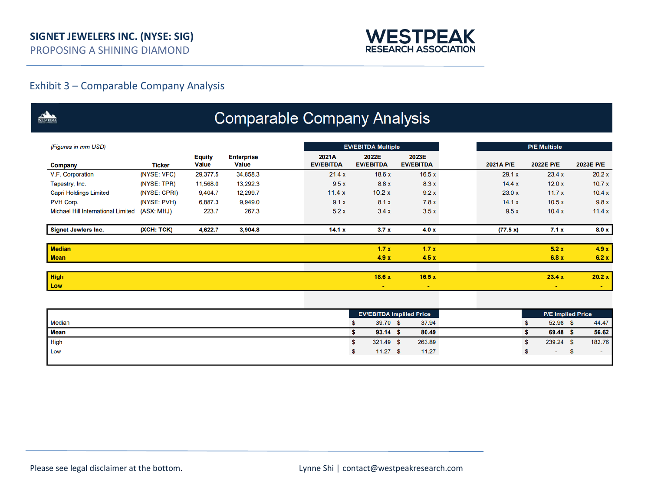

## Exhibit 3 – Comparable Company Analysis

| WESTPEAK                                  |               |                               |                                   | <b>Comparable Company Analysis</b> |                           |                                 |           |                     |                          |
|-------------------------------------------|---------------|-------------------------------|-----------------------------------|------------------------------------|---------------------------|---------------------------------|-----------|---------------------|--------------------------|
| (Figures in mm USD)                       |               |                               |                                   |                                    | <b>EV/EBITDA Multiple</b> |                                 |           | <b>P/E Multiple</b> |                          |
| Company                                   | <b>Ticker</b> | <b>Equity</b><br><b>Value</b> | <b>Enterprise</b><br><b>Value</b> | 2021A<br><b>EV/EBITDA</b>          | 2022E<br><b>EV/EBITDA</b> | 2023E<br><b>EV/EBITDA</b>       | 2021A P/E | 2022E P/E           | 2023E P/E                |
| V.F. Corporation                          | (NYSE: VFC)   | 29,377.5                      | 34,858.3                          | 21.4x                              | 18.6x                     | 16.5x                           | 29.1 x    | 23.4 x              | 20.2 x                   |
| Tapestry, Inc.                            | (NYSE: TPR)   | 11,568.0                      | 13,292.3                          | 9.5x                               | 8.8 x                     | 8.3x                            | 14.4 x    | 12.0x               | 10.7x                    |
| <b>Capri Holdings Limited</b>             | (NYSE: CPRI)  | 9,404.7                       | 12,299.7                          | 11.4x                              | 10.2x                     | 9.2x                            | 23.0 x    | 11.7x               | 10.4 x                   |
| PVH Corp.                                 | (NYSE: PVH)   | 6,887.3                       | 9,949.0                           | 9.1x                               | 8.1 x                     | 7.8x                            | 14.1 x    | 10.5x               | 9.8x                     |
| <b>Michael Hill International Limited</b> | (ASX: MHJ)    | 223.7                         | 267.3                             | 5.2x                               | 3.4x                      | 3.5x                            | 9.5x      | 10.4x               | 11.4x                    |
| <b>Signet Jewlers Inc.</b>                | (XCH: TCK)    | 4,622.7                       | 3,904.8                           | 14.1 x                             | 3.7x                      | 4.0x                            | (77.5 x)  | 7.1x                | 8.0 x                    |
| <b>Median</b>                             |               |                               |                                   |                                    | 1.7x                      | 1.7x                            |           | 5.2x                | 4.9x                     |
| <b>Mean</b>                               |               |                               |                                   |                                    | 4.9x                      | 4.5x                            |           | 6.8x                | 6.2 x                    |
| <b>High</b>                               |               |                               |                                   |                                    | 18.6x                     | 16.5x                           |           | 23.4 x              | 20.2 x                   |
| Low                                       |               |                               |                                   |                                    | $\sim$                    |                                 |           | $\sim$              | $\sim$                   |
|                                           |               |                               |                                   |                                    |                           |                                 |           |                     |                          |
|                                           |               |                               |                                   |                                    |                           | <b>EV/EBITDA Impliled Price</b> |           |                     | <b>P/E Implied Price</b> |
| <b>Median</b>                             |               |                               |                                   |                                    | 39.70 \$<br>\$            | 37.94                           |           | 52.98 \$<br>\$.     | 44.47                    |
| Mean                                      |               |                               |                                   |                                    | \$<br>$93.14$ \$          | 80.49                           |           | 69.48 \$<br>S       | 56.62                    |
| High                                      |               |                               |                                   |                                    | \$<br>321.49 \$           | 263.89                          |           | \$<br>239.24 \$     | 182.76                   |
| Low                                       |               |                               |                                   |                                    | $11.27$ \$<br>\$          | 11.27                           |           | \$                  | \$<br>$\sim$             |